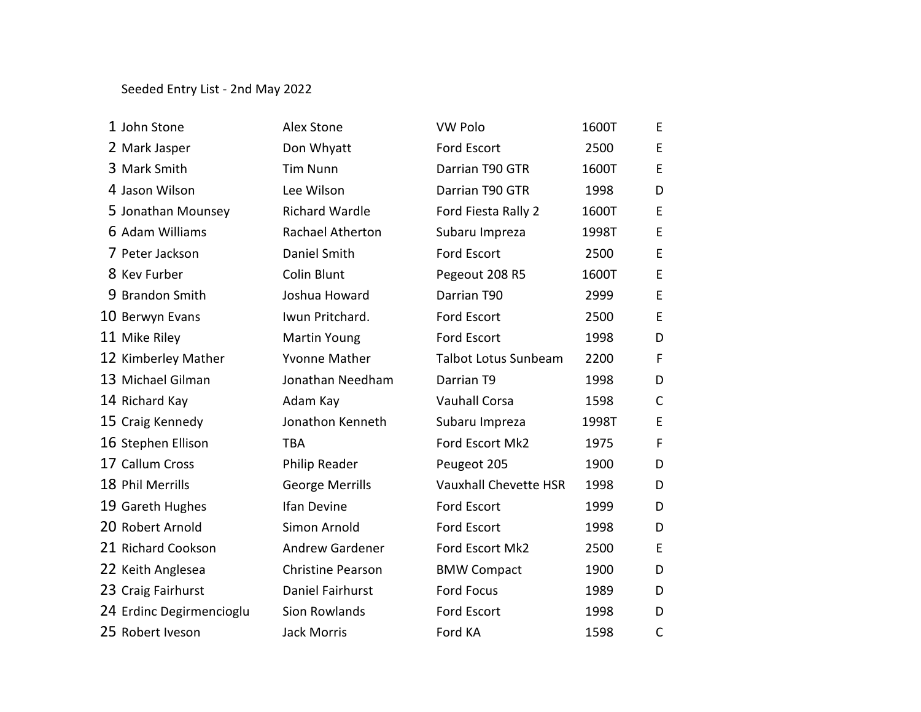## Seeded Entry List - 2nd May 2022

| 1 John Stone             | <b>Alex Stone</b>        | <b>VW Polo</b>               | 1600T | E.           |
|--------------------------|--------------------------|------------------------------|-------|--------------|
| 2 Mark Jasper            | Don Whyatt               | Ford Escort                  | 2500  | E            |
| 3 Mark Smith             | <b>Tim Nunn</b>          | Darrian T90 GTR              | 1600T | E            |
| 4 Jason Wilson           | Lee Wilson               | Darrian T90 GTR              | 1998  | D            |
| 5 Jonathan Mounsey       | <b>Richard Wardle</b>    | Ford Fiesta Rally 2          | 1600T | E            |
| 6 Adam Williams          | Rachael Atherton         | Subaru Impreza               | 1998T | E            |
| 7 Peter Jackson          | Daniel Smith             | Ford Escort                  | 2500  | E            |
| 8 Kev Furber             | Colin Blunt              | Pegeout 208 R5               | 1600T | E            |
| 9 Brandon Smith          | Joshua Howard            | Darrian T90                  | 2999  | E            |
| 10 Berwyn Evans          | Iwun Pritchard.          | Ford Escort                  | 2500  | E            |
| 11 Mike Riley            | <b>Martin Young</b>      | Ford Escort                  | 1998  | D            |
| 12 Kimberley Mather      | <b>Yvonne Mather</b>     | <b>Talbot Lotus Sunbeam</b>  | 2200  | F            |
| 13 Michael Gilman        | Jonathan Needham         | Darrian T9                   | 1998  | D            |
| 14 Richard Kay           | Adam Kay                 | <b>Vauhall Corsa</b>         | 1598  | $\mathsf{C}$ |
| 15 Craig Kennedy         | Jonathon Kenneth         | Subaru Impreza               | 1998T | E            |
| 16 Stephen Ellison       | <b>TBA</b>               | Ford Escort Mk2              | 1975  | F            |
| 17 Callum Cross          | Philip Reader            | Peugeot 205                  | 1900  | D            |
| 18 Phil Merrills         | <b>George Merrills</b>   | <b>Vauxhall Chevette HSR</b> | 1998  | D            |
| 19 Gareth Hughes         | Ifan Devine              | Ford Escort                  | 1999  | D            |
| 20 Robert Arnold         | Simon Arnold             | <b>Ford Escort</b>           | 1998  | D            |
| 21 Richard Cookson       | <b>Andrew Gardener</b>   | Ford Escort Mk2              | 2500  | E            |
| 22 Keith Anglesea        | <b>Christine Pearson</b> | <b>BMW Compact</b>           | 1900  | D            |
| 23 Craig Fairhurst       | Daniel Fairhurst         | <b>Ford Focus</b>            | 1989  | D            |
| 24 Erdinc Degirmencioglu | Sion Rowlands            | Ford Escort                  | 1998  | D            |
| 25 Robert Iveson         | <b>Jack Morris</b>       | Ford KA                      | 1598  | $\mathsf C$  |